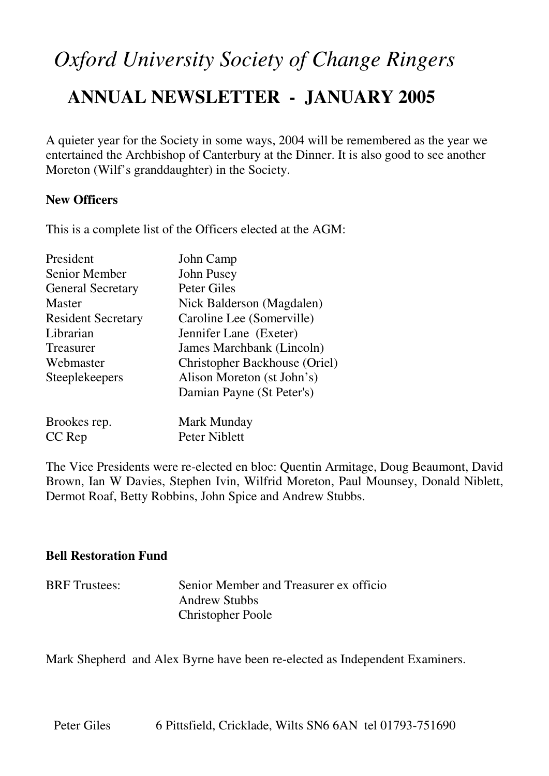# *Oxford University Society of Change Ringers*

## **ANNUAL NEWSLETTER - JANUARY 2005**

A quieter year for the Society in some ways, 2004 will be remembered as the year we entertained the Archbishop of Canterbury at the Dinner. It is also good to see another Moreton (Wilf's granddaughter) in the Society.

### **New Officers**

This is a complete list of the Officers elected at the AGM:

| President                 | John Camp                            |  |
|---------------------------|--------------------------------------|--|
| <b>Senior Member</b>      | John Pusey                           |  |
| <b>General Secretary</b>  | <b>Peter Giles</b>                   |  |
| <b>Master</b>             | Nick Balderson (Magdalen)            |  |
| <b>Resident Secretary</b> | Caroline Lee (Somerville)            |  |
| Librarian                 | Jennifer Lane (Exeter)               |  |
| Treasurer                 | James Marchbank (Lincoln)            |  |
| Webmaster                 | <b>Christopher Backhouse (Oriel)</b> |  |
| Steeplekeepers            | Alison Moreton (st John's)           |  |
|                           | Damian Payne (St Peter's)            |  |
| Brookes rep.              | Mark Munday                          |  |
| CC Rep                    | Peter Niblett                        |  |

The Vice Presidents were re-elected en bloc: Quentin Armitage, Doug Beaumont, David Brown, Ian W Davies, Stephen Ivin, Wilfrid Moreton, Paul Mounsey, Donald Niblett, Dermot Roaf, Betty Robbins, John Spice and Andrew Stubbs.

### **Bell Restoration Fund**

| <b>BRF</b> Trustees: | Senior Member and Treasurer ex officio |
|----------------------|----------------------------------------|
|                      | <b>Andrew Stubbs</b>                   |
|                      | <b>Christopher Poole</b>               |

Mark Shepherd and Alex Byrne have been re-elected as Independent Examiners.

Peter Giles 6 Pittsfield, Cricklade, Wilts SN6 6AN tel 01793-751690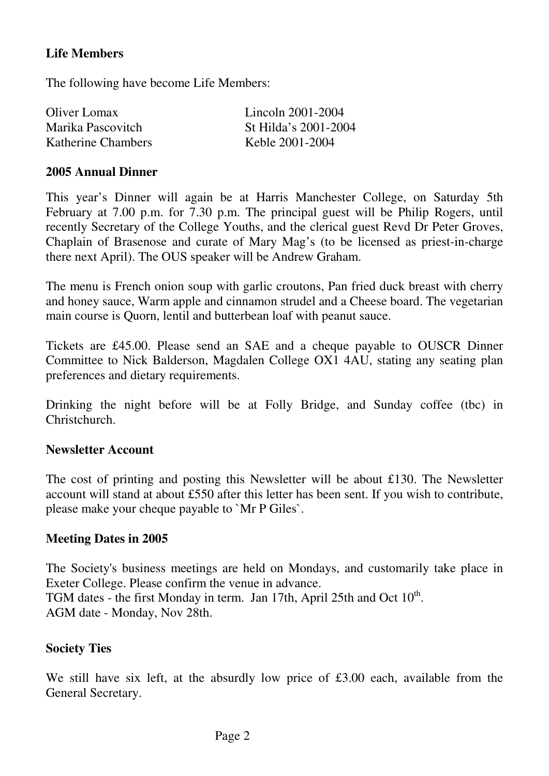### **Life Members**

The following have become Life Members:

| Oliver Lomax       | Lincoln 2001-2004    |
|--------------------|----------------------|
| Marika Pascovitch  | St Hilda's 2001-2004 |
| Katherine Chambers | Keble 2001-2004      |

### **2005 Annual Dinner**

This year's Dinner will again be at Harris Manchester College, on Saturday 5th February at 7.00 p.m. for 7.30 p.m. The principal guest will be Philip Rogers, until recently Secretary of the College Youths, and the clerical guest Revd Dr Peter Groves, Chaplain of Brasenose and curate of Mary Mag's (to be licensed as priest-in-charge there next April). The OUS speaker will be Andrew Graham.

The menu is French onion soup with garlic croutons, Pan fried duck breast with cherry and honey sauce, Warm apple and cinnamon strudel and a Cheese board. The vegetarian main course is Quorn, lentil and butterbean loaf with peanut sauce.

Tickets are £45.00. Please send an SAE and a cheque payable to OUSCR Dinner Committee to Nick Balderson, Magdalen College OX1 4AU, stating any seating plan preferences and dietary requirements.

Drinking the night before will be at Folly Bridge, and Sunday coffee (tbc) in Christchurch.

### **Newsletter Account**

The cost of printing and posting this Newsletter will be about £130. The Newsletter account will stand at about £550 after this letter has been sent. If you wish to contribute, please make your cheque payable to `Mr P Giles`.

### **Meeting Dates in 2005**

The Society's business meetings are held on Mondays, and customarily take place in Exeter College. Please confirm the venue in advance. TGM dates - the first Monday in term. Jan 17th, April 25th and Oct  $10^{th}$ . AGM date - Monday, Nov 28th.

### **Society Ties**

We still have six left, at the absurdly low price of £3.00 each, available from the General Secretary.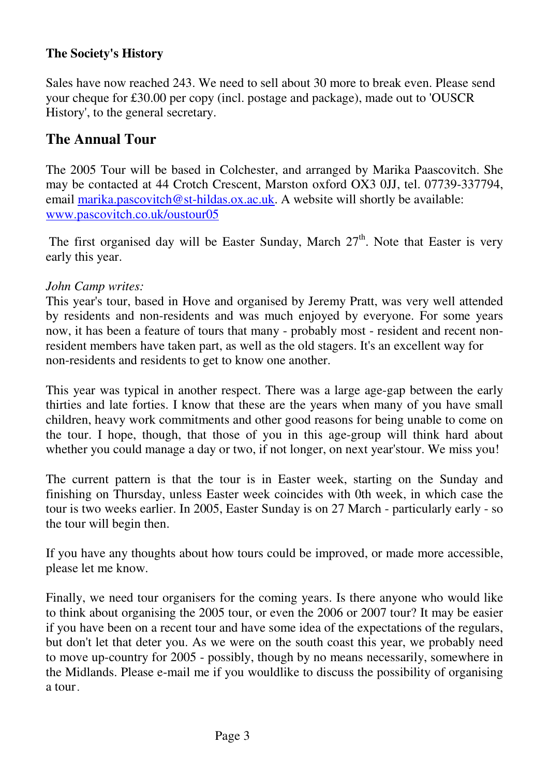### **The Society's History**

Sales have now reached 243. We need to sell about 30 more to break even. Please send your cheque for £30.00 per copy (incl. postage and package), made out to 'OUSCR History', to the general secretary.

### **The Annual Tour**

The 2005 Tour will be based in Colchester, and arranged by Marika Paascovitch. She may be contacted at 44 Crotch Crescent, Marston oxford OX3 0JJ, tel. 07739-337794, email marika.pascovitch@st-hildas.ox.ac.uk. A website will shortly be available: www.pascovitch.co.uk/oustour05

The first organised day will be Easter Sunday, March  $27<sup>th</sup>$ . Note that Easter is very early this year.

### *John Camp writes:*

This year's tour, based in Hove and organised by Jeremy Pratt, was very well attended by residents and non-residents and was much enjoyed by everyone. For some years now, it has been a feature of tours that many - probably most - resident and recent nonresident members have taken part, as well as the old stagers. It's an excellent way for non-residents and residents to get to know one another.

This year was typical in another respect. There was a large age-gap between the early thirties and late forties. I know that these are the years when many of you have small children, heavy work commitments and other good reasons for being unable to come on the tour. I hope, though, that those of you in this age-group will think hard about whether you could manage a day or two, if not longer, on next year'stour. We miss you!

The current pattern is that the tour is in Easter week, starting on the Sunday and finishing on Thursday, unless Easter week coincides with 0th week, in which case the tour is two weeks earlier. In 2005, Easter Sunday is on 27 March - particularly early - so the tour will begin then.

If you have any thoughts about how tours could be improved, or made more accessible, please let me know.

Finally, we need tour organisers for the coming years. Is there anyone who would like to think about organising the 2005 tour, or even the 2006 or 2007 tour? It may be easier if you have been on a recent tour and have some idea of the expectations of the regulars, but don't let that deter you. As we were on the south coast this year, we probably need to move up-country for 2005 - possibly, though by no means necessarily, somewhere in the Midlands. Please e-mail me if you wouldlike to discuss the possibility of organising a tour.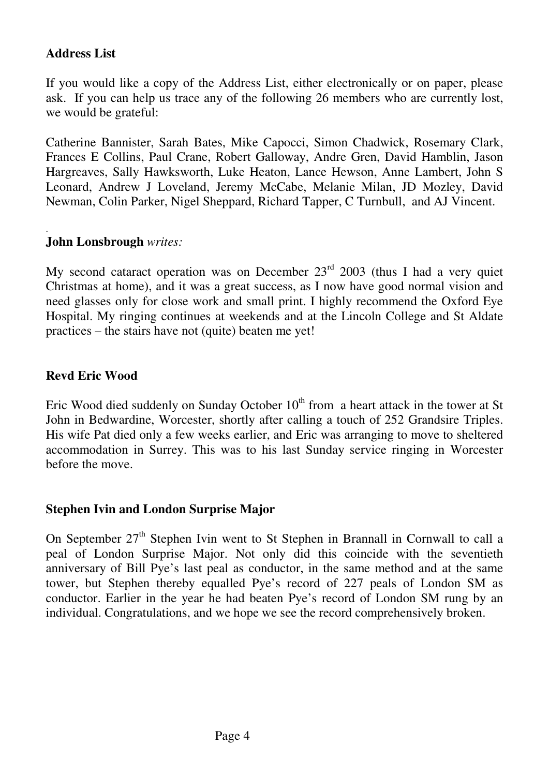### **Address List**

If you would like a copy of the Address List, either electronically or on paper, please ask. If you can help us trace any of the following 26 members who are currently lost, we would be grateful:

Catherine Bannister, Sarah Bates, Mike Capocci, Simon Chadwick, Rosemary Clark, Frances E Collins, Paul Crane, Robert Galloway, Andre Gren, David Hamblin, Jason Hargreaves, Sally Hawksworth, Luke Heaton, Lance Hewson, Anne Lambert, John S Leonard, Andrew J Loveland, Jeremy McCabe, Melanie Milan, JD Mozley, David Newman, Colin Parker, Nigel Sheppard, Richard Tapper, C Turnbull, and AJ Vincent.

#### . **John Lonsbrough** *writes:*

My second cataract operation was on December  $23<sup>rd</sup>$  2003 (thus I had a very quiet Christmas at home), and it was a great success, as I now have good normal vision and need glasses only for close work and small print. I highly recommend the Oxford Eye Hospital. My ringing continues at weekends and at the Lincoln College and St Aldate practices – the stairs have not (quite) beaten me yet!

### **Revd Eric Wood**

Eric Wood died suddenly on Sunday October  $10<sup>th</sup>$  from a heart attack in the tower at St John in Bedwardine, Worcester, shortly after calling a touch of 252 Grandsire Triples. His wife Pat died only a few weeks earlier, and Eric was arranging to move to sheltered accommodation in Surrey. This was to his last Sunday service ringing in Worcester before the move.

### **Stephen Ivin and London Surprise Major**

On September  $27<sup>th</sup>$  Stephen Ivin went to St Stephen in Brannall in Cornwall to call a peal of London Surprise Major. Not only did this coincide with the seventieth anniversary of Bill Pye's last peal as conductor, in the same method and at the same tower, but Stephen thereby equalled Pye's record of 227 peals of London SM as conductor. Earlier in the year he had beaten Pye's record of London SM rung by an individual. Congratulations, and we hope we see the record comprehensively broken.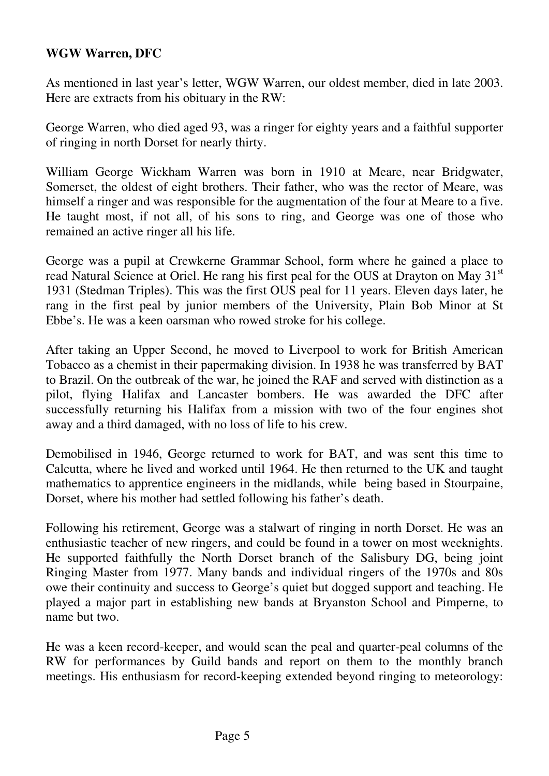### **WGW Warren, DFC**

As mentioned in last year's letter, WGW Warren, our oldest member, died in late 2003. Here are extracts from his obituary in the RW:

George Warren, who died aged 93, was a ringer for eighty years and a faithful supporter of ringing in north Dorset for nearly thirty.

William George Wickham Warren was born in 1910 at Meare, near Bridgwater, Somerset, the oldest of eight brothers. Their father, who was the rector of Meare, was himself a ringer and was responsible for the augmentation of the four at Meare to a five. He taught most, if not all, of his sons to ring, and George was one of those who remained an active ringer all his life.

George was a pupil at Crewkerne Grammar School, form where he gained a place to read Natural Science at Oriel. He rang his first peal for the OUS at Drayton on May 31<sup>st</sup> 1931 (Stedman Triples). This was the first OUS peal for 11 years. Eleven days later, he rang in the first peal by junior members of the University, Plain Bob Minor at St Ebbe's. He was a keen oarsman who rowed stroke for his college.

After taking an Upper Second, he moved to Liverpool to work for British American Tobacco as a chemist in their papermaking division. In 1938 he was transferred by BAT to Brazil. On the outbreak of the war, he joined the RAF and served with distinction as a pilot, flying Halifax and Lancaster bombers. He was awarded the DFC after successfully returning his Halifax from a mission with two of the four engines shot away and a third damaged, with no loss of life to his crew.

Demobilised in 1946, George returned to work for BAT, and was sent this time to Calcutta, where he lived and worked until 1964. He then returned to the UK and taught mathematics to apprentice engineers in the midlands, while being based in Stourpaine, Dorset, where his mother had settled following his father's death.

Following his retirement, George was a stalwart of ringing in north Dorset. He was an enthusiastic teacher of new ringers, and could be found in a tower on most weeknights. He supported faithfully the North Dorset branch of the Salisbury DG, being joint Ringing Master from 1977. Many bands and individual ringers of the 1970s and 80s owe their continuity and success to George's quiet but dogged support and teaching. He played a major part in establishing new bands at Bryanston School and Pimperne, to name but two.

He was a keen record-keeper, and would scan the peal and quarter-peal columns of the RW for performances by Guild bands and report on them to the monthly branch meetings. His enthusiasm for record-keeping extended beyond ringing to meteorology: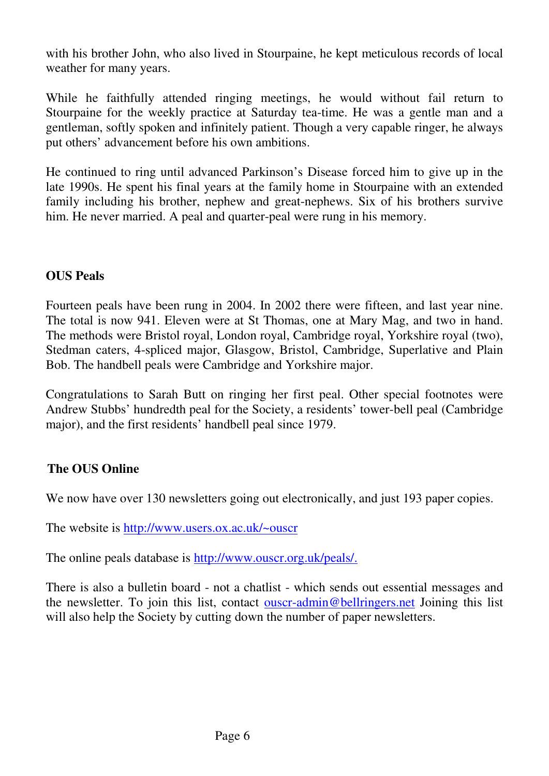with his brother John, who also lived in Stourpaine, he kept meticulous records of local weather for many years.

While he faithfully attended ringing meetings, he would without fail return to Stourpaine for the weekly practice at Saturday tea-time. He was a gentle man and a gentleman, softly spoken and infinitely patient. Though a very capable ringer, he always put others' advancement before his own ambitions.

He continued to ring until advanced Parkinson's Disease forced him to give up in the late 1990s. He spent his final years at the family home in Stourpaine with an extended family including his brother, nephew and great-nephews. Six of his brothers survive him. He never married. A peal and quarter-peal were rung in his memory.

### **OUS Peals**

Fourteen peals have been rung in 2004. In 2002 there were fifteen, and last year nine. The total is now 941. Eleven were at St Thomas, one at Mary Mag, and two in hand. The methods were Bristol royal, London royal, Cambridge royal, Yorkshire royal (two), Stedman caters, 4-spliced major, Glasgow, Bristol, Cambridge, Superlative and Plain Bob. The handbell peals were Cambridge and Yorkshire major.

Congratulations to Sarah Butt on ringing her first peal. Other special footnotes were Andrew Stubbs' hundredth peal for the Society, a residents' tower-bell peal (Cambridge major), and the first residents' handbell peal since 1979.

### **The OUS Online**

We now have over 130 newsletters going out electronically, and just 193 paper copies.

The website is http://www.users.ox.ac.uk/~ouscr

The online peals database is http://www.ouscr.org.uk/peals/.

There is also a bulletin board - not a chatlist - which sends out essential messages and the newsletter. To join this list, contact **ouscr-admin@bellringers.net** Joining this list will also help the Society by cutting down the number of paper newsletters.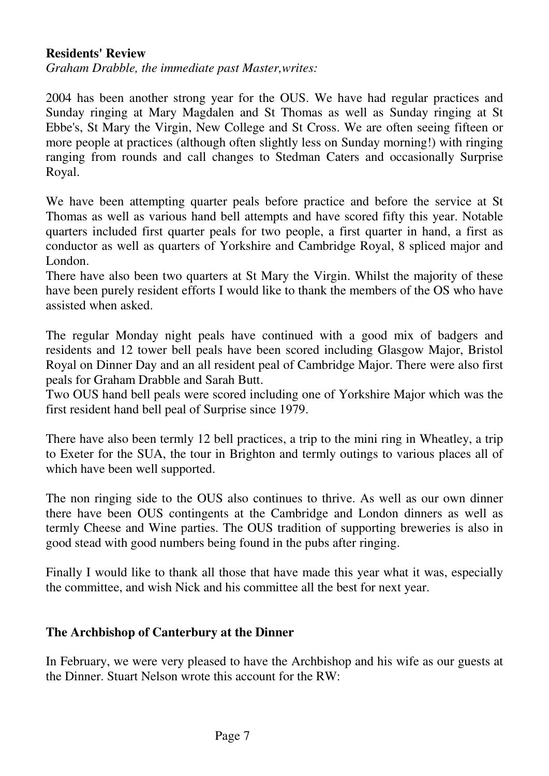### **Residents' Review**

*Graham Drabble, the immediate past Master,writes:* 

2004 has been another strong year for the OUS. We have had regular practices and Sunday ringing at Mary Magdalen and St Thomas as well as Sunday ringing at St Ebbe's, St Mary the Virgin, New College and St Cross. We are often seeing fifteen or more people at practices (although often slightly less on Sunday morning!) with ringing ranging from rounds and call changes to Stedman Caters and occasionally Surprise Royal.

We have been attempting quarter peals before practice and before the service at St Thomas as well as various hand bell attempts and have scored fifty this year. Notable quarters included first quarter peals for two people, a first quarter in hand, a first as conductor as well as quarters of Yorkshire and Cambridge Royal, 8 spliced major and London.

There have also been two quarters at St Mary the Virgin. Whilst the majority of these have been purely resident efforts I would like to thank the members of the OS who have assisted when asked.

The regular Monday night peals have continued with a good mix of badgers and residents and 12 tower bell peals have been scored including Glasgow Major, Bristol Royal on Dinner Day and an all resident peal of Cambridge Major. There were also first peals for Graham Drabble and Sarah Butt.

Two OUS hand bell peals were scored including one of Yorkshire Major which was the first resident hand bell peal of Surprise since 1979.

There have also been termly 12 bell practices, a trip to the mini ring in Wheatley, a trip to Exeter for the SUA, the tour in Brighton and termly outings to various places all of which have been well supported.

The non ringing side to the OUS also continues to thrive. As well as our own dinner there have been OUS contingents at the Cambridge and London dinners as well as termly Cheese and Wine parties. The OUS tradition of supporting breweries is also in good stead with good numbers being found in the pubs after ringing.

Finally I would like to thank all those that have made this year what it was, especially the committee, and wish Nick and his committee all the best for next year.

### **The Archbishop of Canterbury at the Dinner**

In February, we were very pleased to have the Archbishop and his wife as our guests at the Dinner. Stuart Nelson wrote this account for the RW: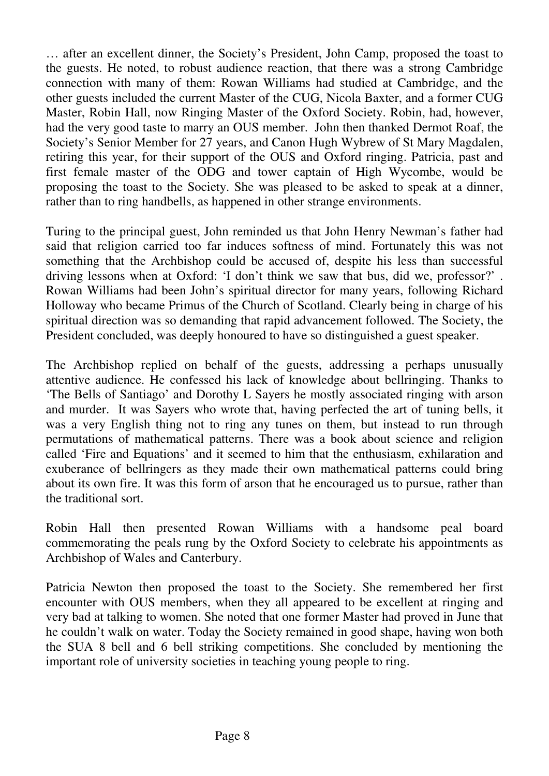… after an excellent dinner, the Society's President, John Camp, proposed the toast to the guests. He noted, to robust audience reaction, that there was a strong Cambridge connection with many of them: Rowan Williams had studied at Cambridge, and the other guests included the current Master of the CUG, Nicola Baxter, and a former CUG Master, Robin Hall, now Ringing Master of the Oxford Society. Robin, had, however, had the very good taste to marry an OUS member. John then thanked Dermot Roaf, the Society's Senior Member for 27 years, and Canon Hugh Wybrew of St Mary Magdalen, retiring this year, for their support of the OUS and Oxford ringing. Patricia, past and first female master of the ODG and tower captain of High Wycombe, would be proposing the toast to the Society. She was pleased to be asked to speak at a dinner, rather than to ring handbells, as happened in other strange environments.

Turing to the principal guest, John reminded us that John Henry Newman's father had said that religion carried too far induces softness of mind. Fortunately this was not something that the Archbishop could be accused of, despite his less than successful driving lessons when at Oxford: 'I don't think we saw that bus, did we, professor?' . Rowan Williams had been John's spiritual director for many years, following Richard Holloway who became Primus of the Church of Scotland. Clearly being in charge of his spiritual direction was so demanding that rapid advancement followed. The Society, the President concluded, was deeply honoured to have so distinguished a guest speaker.

The Archbishop replied on behalf of the guests, addressing a perhaps unusually attentive audience. He confessed his lack of knowledge about bellringing. Thanks to 'The Bells of Santiago' and Dorothy L Sayers he mostly associated ringing with arson and murder. It was Sayers who wrote that, having perfected the art of tuning bells, it was a very English thing not to ring any tunes on them, but instead to run through permutations of mathematical patterns. There was a book about science and religion called 'Fire and Equations' and it seemed to him that the enthusiasm, exhilaration and exuberance of bellringers as they made their own mathematical patterns could bring about its own fire. It was this form of arson that he encouraged us to pursue, rather than the traditional sort.

Robin Hall then presented Rowan Williams with a handsome peal board commemorating the peals rung by the Oxford Society to celebrate his appointments as Archbishop of Wales and Canterbury.

Patricia Newton then proposed the toast to the Society. She remembered her first encounter with OUS members, when they all appeared to be excellent at ringing and very bad at talking to women. She noted that one former Master had proved in June that he couldn't walk on water. Today the Society remained in good shape, having won both the SUA 8 bell and 6 bell striking competitions. She concluded by mentioning the important role of university societies in teaching young people to ring.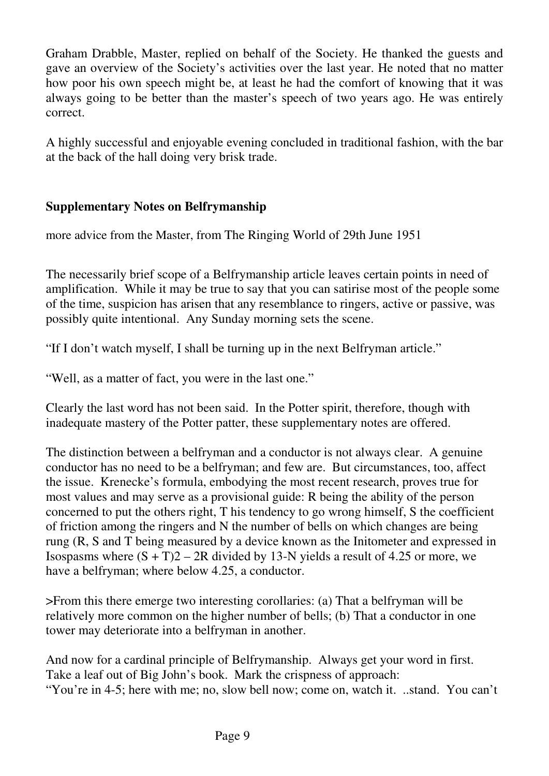Graham Drabble, Master, replied on behalf of the Society. He thanked the guests and gave an overview of the Society's activities over the last year. He noted that no matter how poor his own speech might be, at least he had the comfort of knowing that it was always going to be better than the master's speech of two years ago. He was entirely correct.

A highly successful and enjoyable evening concluded in traditional fashion, with the bar at the back of the hall doing very brisk trade.

### **Supplementary Notes on Belfrymanship**

more advice from the Master, from The Ringing World of 29th June 1951

The necessarily brief scope of a Belfrymanship article leaves certain points in need of amplification. While it may be true to say that you can satirise most of the people some of the time, suspicion has arisen that any resemblance to ringers, active or passive, was possibly quite intentional. Any Sunday morning sets the scene.

"If I don't watch myself, I shall be turning up in the next Belfryman article."

"Well, as a matter of fact, you were in the last one."

Clearly the last word has not been said. In the Potter spirit, therefore, though with inadequate mastery of the Potter patter, these supplementary notes are offered.

The distinction between a belfryman and a conductor is not always clear. A genuine conductor has no need to be a belfryman; and few are. But circumstances, too, affect the issue. Krenecke's formula, embodying the most recent research, proves true for most values and may serve as a provisional guide: R being the ability of the person concerned to put the others right, T his tendency to go wrong himself, S the coefficient of friction among the ringers and N the number of bells on which changes are being rung (R, S and T being measured by a device known as the Initometer and expressed in Isospasms where  $(S + T)2 - 2R$  divided by 13-N yields a result of 4.25 or more, we have a belfryman; where below 4.25, a conductor.

>From this there emerge two interesting corollaries: (a) That a belfryman will be relatively more common on the higher number of bells; (b) That a conductor in one tower may deteriorate into a belfryman in another.

And now for a cardinal principle of Belfrymanship. Always get your word in first. Take a leaf out of Big John's book. Mark the crispness of approach: "You're in 4-5; here with me; no, slow bell now; come on, watch it. ..stand. You can't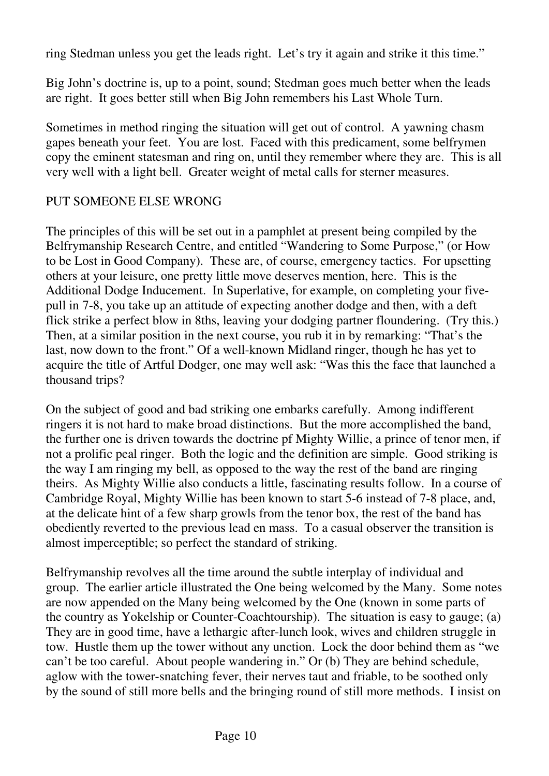ring Stedman unless you get the leads right. Let's try it again and strike it this time."

Big John's doctrine is, up to a point, sound; Stedman goes much better when the leads are right. It goes better still when Big John remembers his Last Whole Turn.

Sometimes in method ringing the situation will get out of control. A yawning chasm gapes beneath your feet. You are lost. Faced with this predicament, some belfrymen copy the eminent statesman and ring on, until they remember where they are. This is all very well with a light bell. Greater weight of metal calls for sterner measures.

### PUT SOMEONE ELSE WRONG

The principles of this will be set out in a pamphlet at present being compiled by the Belfrymanship Research Centre, and entitled "Wandering to Some Purpose," (or How to be Lost in Good Company). These are, of course, emergency tactics. For upsetting others at your leisure, one pretty little move deserves mention, here. This is the Additional Dodge Inducement. In Superlative, for example, on completing your fivepull in 7-8, you take up an attitude of expecting another dodge and then, with a deft flick strike a perfect blow in 8ths, leaving your dodging partner floundering. (Try this.) Then, at a similar position in the next course, you rub it in by remarking: "That's the last, now down to the front." Of a well-known Midland ringer, though he has yet to acquire the title of Artful Dodger, one may well ask: "Was this the face that launched a thousand trips?

On the subject of good and bad striking one embarks carefully. Among indifferent ringers it is not hard to make broad distinctions. But the more accomplished the band, the further one is driven towards the doctrine pf Mighty Willie, a prince of tenor men, if not a prolific peal ringer. Both the logic and the definition are simple. Good striking is the way I am ringing my bell, as opposed to the way the rest of the band are ringing theirs. As Mighty Willie also conducts a little, fascinating results follow. In a course of Cambridge Royal, Mighty Willie has been known to start 5-6 instead of 7-8 place, and, at the delicate hint of a few sharp growls from the tenor box, the rest of the band has obediently reverted to the previous lead en mass. To a casual observer the transition is almost imperceptible; so perfect the standard of striking.

Belfrymanship revolves all the time around the subtle interplay of individual and group. The earlier article illustrated the One being welcomed by the Many. Some notes are now appended on the Many being welcomed by the One (known in some parts of the country as Yokelship or Counter-Coachtourship). The situation is easy to gauge; (a) They are in good time, have a lethargic after-lunch look, wives and children struggle in tow. Hustle them up the tower without any unction. Lock the door behind them as "we can't be too careful. About people wandering in." Or (b) They are behind schedule, aglow with the tower-snatching fever, their nerves taut and friable, to be soothed only by the sound of still more bells and the bringing round of still more methods. I insist on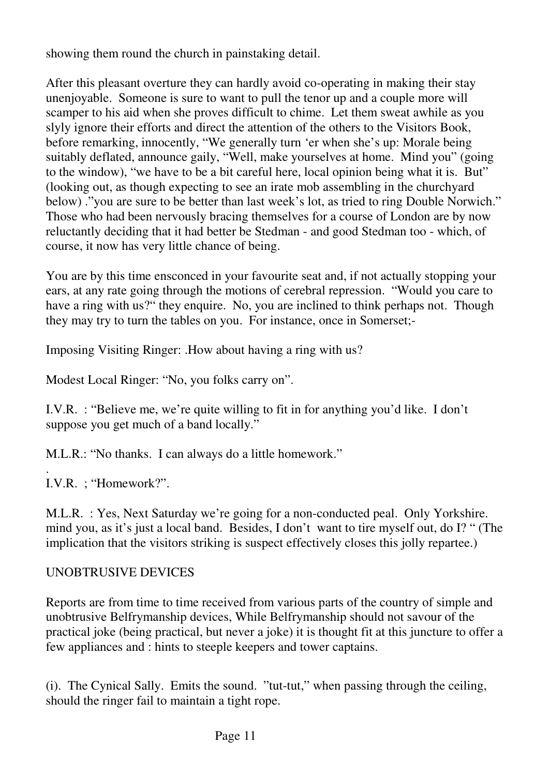showing them round the church in painstaking detail.

After this pleasant overture they can hardly avoid co-operating in making their stay unenjoyable. Someone is sure to want to pull the tenor up and a couple more will scamper to his aid when she proves difficult to chime. Let them sweat awhile as you slyly ignore their efforts and direct the attention of the others to the Visitors Book, before remarking, innocently, "We generally turn 'er when she's up: Morale being suitably deflated, announce gaily, "Well, make yourselves at home. Mind you" (going to the window), "we have to be a bit careful here, local opinion being what it is. But" (looking out, as though expecting to see an irate mob assembling in the churchyard below) ."you are sure to be better than last week's lot, as tried to ring Double Norwich." Those who had been nervously bracing themselves for a course of London are by now reluctantly deciding that it had better be Stedman - and good Stedman too - which, of course, it now has very little chance of being.

You are by this time ensconced in your favourite seat and, if not actually stopping your ears, at any rate going through the motions of cerebral repression. "Would you care to have a ring with us?" they enquire. No, you are inclined to think perhaps not. Though they may try to turn the tables on you. For instance, once in Somerset;-

Imposing Visiting Ringer: .How about having a ring with us?

Modest Local Ringer: "No, you folks carry on".

I.V.R. : "Believe me, we're quite willing to fit in for anything you'd like. I don't suppose you get much of a band locally."

M.L.R.: "No thanks. I can always do a little homework."

. I.V.R. ; "Homework?".

M.L.R. : Yes, Next Saturday we're going for a non-conducted peal. Only Yorkshire. mind you, as it's just a local band. Besides, I don't want to tire myself out, do I? " (The implication that the visitors striking is suspect effectively closes this jolly repartee.)

### UNOBTRUSIVE DEVICES

Reports are from time to time received from various parts of the country of simple and unobtrusive Belfrymanship devices, While Belfrymanship should not savour of the practical joke (being practical, but never a joke) it is thought fit at this juncture to offer a few appliances and : hints to steeple keepers and tower captains.

(i). The Cynical Sally. Emits the sound. "tut-tut," when passing through the ceiling, should the ringer fail to maintain a tight rope.